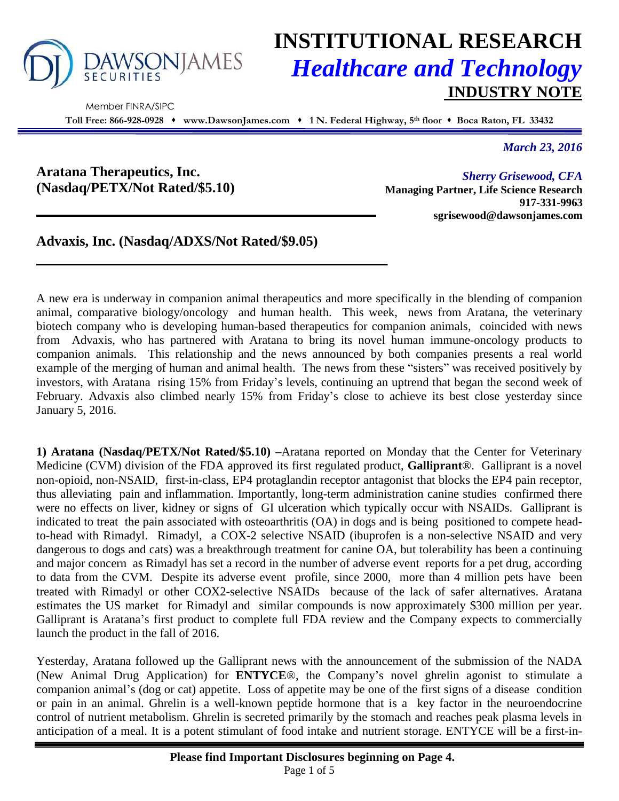

Member FINRA/SIPC

# **INSTITUTIONAL RESEARCH** *Healthcare and Technology* **INDUSTRY NOTE**

**Toll Free: 866-928-0928 www.DawsonJames.com 1 N. Federal Highway, 5 th floor Boca Raton, FL 33432**

*March 23, 2016*

**Aratana Therapeutics, Inc. (Nasdaq/PETX/Not Rated/\$5.10)**

*Sherry Grisewood, CFA* **Managing Partner, Life Science Research 917-331-9963 sgrisewood@dawsonjames.com**

**Advaxis, Inc. (Nasdaq/ADXS/Not Rated/\$9.05)**

A new era is underway in companion animal therapeutics and more specifically in the blending of companion animal, comparative biology/oncology and human health. This week, news from Aratana, the veterinary biotech company who is developing human-based therapeutics for companion animals, coincided with news from Advaxis, who has partnered with Aratana to bring its novel human immune-oncology products to companion animals. This relationship and the news announced by both companies presents a real world example of the merging of human and animal health. The news from these "sisters" was received positively by investors, with Aratana rising 15% from Friday's levels, continuing an uptrend that began the second week of February. Advaxis also climbed nearly 15% from Friday's close to achieve its best close yesterday since January 5, 2016.

**1) Aratana (Nasdaq/PETX/Not Rated/\$5.10) –**Aratana reported on Monday that the Center for Veterinary Medicine (CVM) division of the FDA approved its first regulated product, **Galliprant**®. Galliprant is a novel non-opioid, non-NSAID, first-in-class, EP4 protaglandin receptor antagonist that blocks the EP4 pain receptor, thus alleviating pain and inflammation. Importantly, long-term administration canine studies confirmed there were no effects on liver, kidney or signs of GI ulceration which typically occur with NSAIDs. Galliprant is indicated to treat the pain associated with osteoarthritis (OA) in dogs and is being positioned to compete headto-head with Rimadyl. Rimadyl, a COX-2 selective NSAID (ibuprofen is a non-selective NSAID and very dangerous to dogs and cats) was a breakthrough treatment for canine OA, but tolerability has been a continuing and major concern as Rimadyl has set a record in the number of adverse event reports for a pet drug, according to data from the CVM. Despite its adverse event profile, since 2000, more than 4 million pets have been treated with Rimadyl or other COX2-selective NSAIDs because of the lack of safer alternatives. Aratana estimates the US market for Rimadyl and similar compounds is now approximately \$300 million per year. Galliprant is Aratana's first product to complete full FDA review and the Company expects to commercially launch the product in the fall of 2016.

Yesterday, Aratana followed up the Galliprant news with the announcement of the submission of the NADA (New Animal Drug Application) for **ENTYCE**®, the Company's novel ghrelin agonist to stimulate a companion animal's (dog or cat) appetite. Loss of appetite may be one of the first signs of a disease condition or pain in an animal. Ghrelin is a well-known peptide hormone that is a key factor in the neuroendocrine control of nutrient metabolism. Ghrelin is secreted primarily by the stomach and reaches peak plasma levels in anticipation of a meal. It is a potent stimulant of food intake and nutrient storage. ENTYCE will be a first-in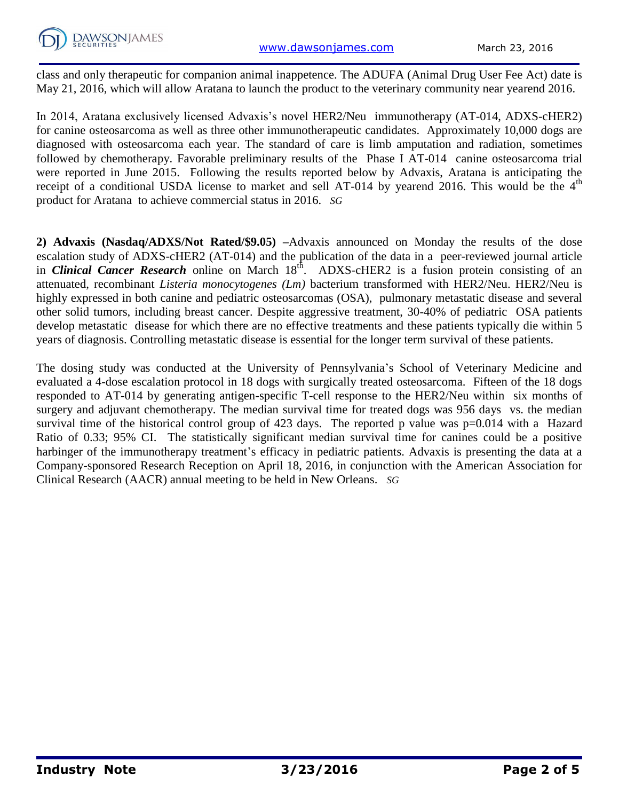class and only therapeutic for companion animal inappetence. The ADUFA (Animal Drug User Fee Act) date is May 21, 2016, which will allow Aratana to launch the product to the veterinary community near yearend 2016.

In 2014, Aratana exclusively licensed Advaxis's novel HER2/Neu immunotherapy (AT-014, ADXS-cHER2) for canine osteosarcoma as well as three other immunotherapeutic candidates. Approximately 10,000 dogs are diagnosed with osteosarcoma each year. The standard of care is limb amputation and radiation, sometimes followed by chemotherapy. Favorable preliminary results of the Phase I AT-014 canine osteosarcoma trial were reported in June 2015. Following the results reported below by Advaxis, Aratana is anticipating the receipt of a conditional USDA license to market and sell AT-014 by yearend 2016. This would be the  $4<sup>th</sup>$ product for Aratana to achieve commercial status in 2016. *SG*

**2) Advaxis (Nasdaq/ADXS/Not Rated/\$9.05) –**Advaxis announced on Monday the results of the dose escalation study of ADXS-cHER2 (AT-014) and the publication of the data in a peer-reviewed journal article in *Clinical Cancer Research* online on March 18<sup>th</sup>. ADXS-cHER2 is a fusion protein consisting of an attenuated, recombinant *Listeria monocytogenes (Lm)* bacterium transformed with HER2/Neu. HER2/Neu is highly expressed in both canine and pediatric osteosarcomas (OSA), pulmonary metastatic disease and several other solid tumors, including breast cancer. Despite aggressive treatment, 30-40% of pediatric OSA patients develop metastatic disease for which there are no effective treatments and these patients typically die within 5 years of diagnosis. Controlling metastatic disease is essential for the longer term survival of these patients.

The dosing study was conducted at the University of Pennsylvania's School of Veterinary Medicine and evaluated a 4-dose escalation protocol in 18 dogs with surgically treated osteosarcoma. Fifteen of the 18 dogs responded to AT-014 by generating antigen-specific T-cell response to the HER2/Neu within six months of surgery and adjuvant chemotherapy. The median survival time for treated dogs was 956 days vs. the median survival time of the historical control group of 423 days. The reported p value was  $p=0.014$  with a Hazard Ratio of 0.33; 95% CI. The statistically significant median survival time for canines could be a positive harbinger of the immunotherapy treatment's efficacy in pediatric patients. Advaxis is presenting the data at a Company-sponsored Research Reception on April 18, 2016, in conjunction with the American Association for Clinical Research (AACR) annual meeting to be held in New Orleans. *SG*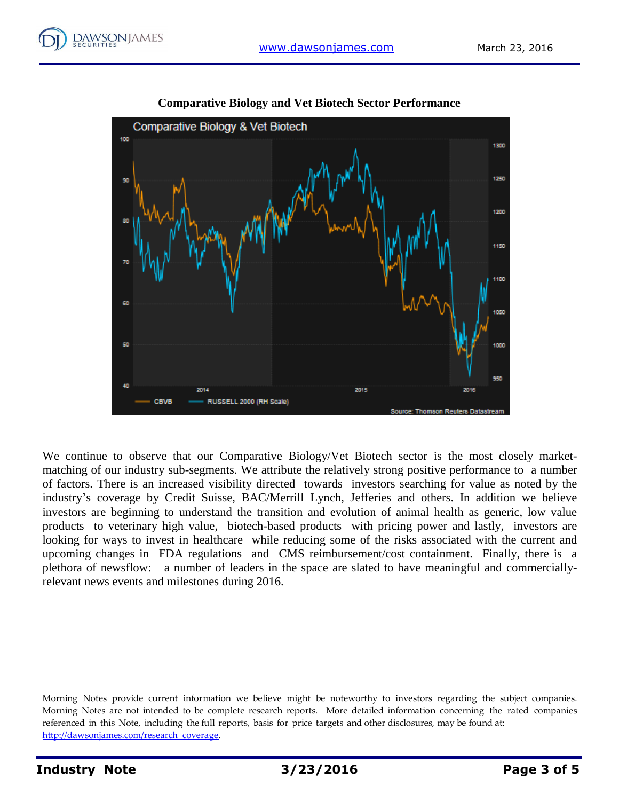



### **Comparative Biology and Vet Biotech Sector Performance**

We continue to observe that our Comparative Biology/Vet Biotech sector is the most closely marketmatching of our industry sub-segments. We attribute the relatively strong positive performance to a number of factors. There is an increased visibility directed towards investors searching for value as noted by the industry's coverage by Credit Suisse, BAC/Merrill Lynch, Jefferies and others. In addition we believe investors are beginning to understand the transition and evolution of animal health as generic, low value products to veterinary high value, biotech-based products with pricing power and lastly, investors are looking for ways to invest in healthcare while reducing some of the risks associated with the current and upcoming changes in FDA regulations and CMS reimbursement/cost containment. Finally, there is a plethora of newsflow: a number of leaders in the space are slated to have meaningful and commerciallyrelevant news events and milestones during 2016.

Morning Notes provide current information we believe might be noteworthy to investors regarding the subject companies. Morning Notes are not intended to be complete research reports. More detailed information concerning the rated companies referenced in this Note, including the full reports, basis for price targets and other disclosures, may be found at: [http://dawsonjames.com/research\\_coverage.](http://dawsonjames.com/research_coverage)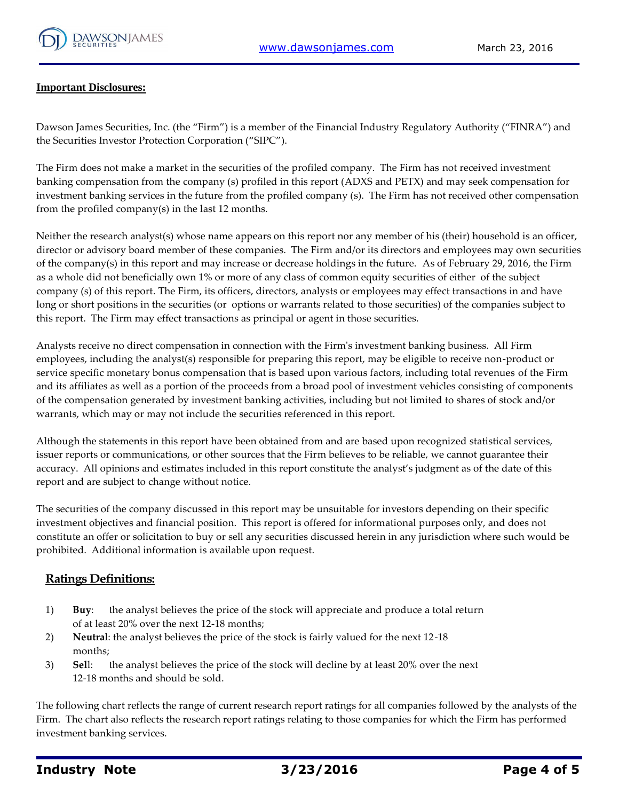

#### **Important Disclosures:**

Dawson James Securities, Inc. (the "Firm") is a member of the Financial Industry Regulatory Authority ("FINRA") and the Securities Investor Protection Corporation ("SIPC").

The Firm does not make a market in the securities of the profiled company. The Firm has not received investment banking compensation from the company (s) profiled in this report (ADXS and PETX) and may seek compensation for investment banking services in the future from the profiled company (s). The Firm has not received other compensation from the profiled company(s) in the last 12 months.

Neither the research analyst(s) whose name appears on this report nor any member of his (their) household is an officer, director or advisory board member of these companies. The Firm and/or its directors and employees may own securities of the company(s) in this report and may increase or decrease holdings in the future. As of February 29, 2016, the Firm as a whole did not beneficially own 1% or more of any class of common equity securities of either of the subject company (s) of this report. The Firm, its officers, directors, analysts or employees may effect transactions in and have long or short positions in the securities (or options or warrants related to those securities) of the companies subject to this report. The Firm may effect transactions as principal or agent in those securities.

Analysts receive no direct compensation in connection with the Firm's investment banking business. All Firm employees, including the analyst(s) responsible for preparing this report, may be eligible to receive non-product or service specific monetary bonus compensation that is based upon various factors, including total revenues of the Firm and its affiliates as well as a portion of the proceeds from a broad pool of investment vehicles consisting of components of the compensation generated by investment banking activities, including but not limited to shares of stock and/or warrants, which may or may not include the securities referenced in this report.

Although the statements in this report have been obtained from and are based upon recognized statistical services, issuer reports or communications, or other sources that the Firm believes to be reliable, we cannot guarantee their accuracy. All opinions and estimates included in this report constitute the analyst's judgment as of the date of this report and are subject to change without notice.

The securities of the company discussed in this report may be unsuitable for investors depending on their specific investment objectives and financial position. This report is offered for informational purposes only, and does not constitute an offer or solicitation to buy or sell any securities discussed herein in any jurisdiction where such would be prohibited. Additional information is available upon request.

#### **Ratings Definitions:**

- 1) **Buy**: the analyst believes the price of the stock will appreciate and produce a total return of at least 20% over the next 12-18 months;
- 2) **Neutra**l: the analyst believes the price of the stock is fairly valued for the next 12-18 months;
- 3) **Sel**l: the analyst believes the price of the stock will decline by at least 20% over the next 12-18 months and should be sold.

The following chart reflects the range of current research report ratings for all companies followed by the analysts of the Firm. The chart also reflects the research report ratings relating to those companies for which the Firm has performed investment banking services.